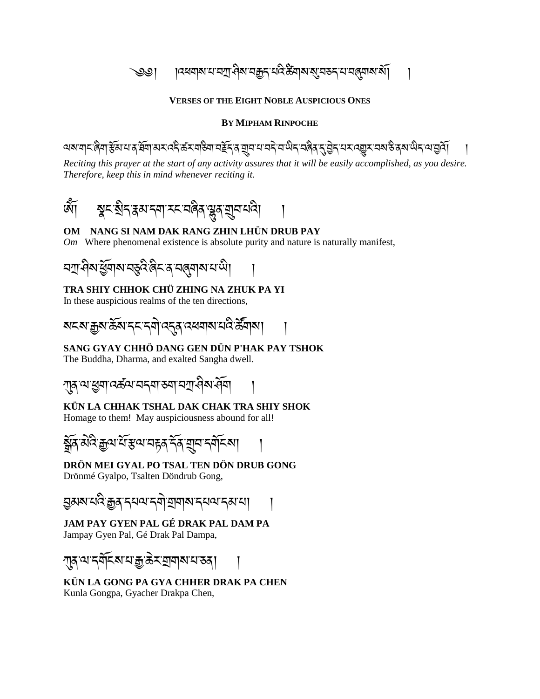্ৰুত্ত। । ।���ন্মমামামশ্ৰীমামক্ক্ৰুনামবিস্ক্ৰীমামাম্যুমস্ক্ৰীমামামী।

#### **VERSES OF THE EIGHT NOBLE AUSPICIOUS ONES**

#### **BY MIPHAM RINPOCHE**

৾৾অম'মাৃ<'ৰিমা'ষ্টম'ম'ৰ হিমা'ঝহ'ৰেই'ৰ্ক্স'মাউনা'নৰ্ইহ'ৰ য়ুম ম'নই'ম'ঞ্চৰ মৰিৰ 'বৃত্তীহ'মহ'ৰ্য্যুস'মৰা'উৰৰ অত্ত

*Reciting this prayer at the start of any activity assures that it will be easily accomplished, as you desire. Therefore, keep this in mind whenever reciting it.*

ཨོཾ། སྣང་སིད་རྣམ་དག་རང་བཞིན་ལྷུན་གྲུབ་པའི། །

#### **OM NANG SI NAM DAK RANG ZHIN LHÜN DRUB PAY**

*Om* Where phenomenal existence is absolute purity and nature is naturally manifest,

$$
\frac{1}{2} \left( \frac{1}{2} \right) \left( \frac{1}{2} \right) \left( \frac{1}{2} \right) \left( \frac{1}{2} \right) \left( \frac{1}{2} \right) \left( \frac{1}{2} \right) \left( \frac{1}{2} \right) \left( \frac{1}{2} \right) \left( \frac{1}{2} \right) \left( \frac{1}{2} \right) \left( \frac{1}{2} \right) \left( \frac{1}{2} \right) \left( \frac{1}{2} \right) \left( \frac{1}{2} \right) \left( \frac{1}{2} \right) \left( \frac{1}{2} \right) \left( \frac{1}{2} \right) \left( \frac{1}{2} \right) \left( \frac{1}{2} \right) \left( \frac{1}{2} \right) \left( \frac{1}{2} \right) \left( \frac{1}{2} \right) \left( \frac{1}{2} \right) \left( \frac{1}{2} \right) \left( \frac{1}{2} \right) \left( \frac{1}{2} \right) \left( \frac{1}{2} \right) \left( \frac{1}{2} \right) \left( \frac{1}{2} \right) \left( \frac{1}{2} \right) \left( \frac{1}{2} \right) \left( \frac{1}{2} \right) \left( \frac{1}{2} \right) \left( \frac{1}{2} \right) \left( \frac{1}{2} \right) \left( \frac{1}{2} \right) \left( \frac{1}{2} \right) \left( \frac{1}{2} \right) \left( \frac{1}{2} \right) \left( \frac{1}{2} \right) \left( \frac{1}{2} \right) \left( \frac{1}{2} \right) \left( \frac{1}{2} \right) \left( \frac{1}{2} \right) \left( \frac{1}{2} \right) \left( \frac{1}{2} \right) \left( \frac{1}{2} \right) \left( \frac{1}{2} \right) \left( \frac{1}{2} \right) \left( \frac{1}{2} \right) \left( \frac{1}{2} \right) \left( \frac{1}{2} \right) \left( \frac{1}{2} \right) \left( \frac{1}{2} \right) \left( \frac{1}{2} \right) \left( \frac{1}{2} \right) \left( \frac{1}{2} \right) \left( \frac{1}{2} \right
$$

#### **TRA SHIY CHHOK CHÜ ZHING NA ZHUK PA YI**

In these auspicious realms of the ten directions,

$$
\frac{1}{2} \left\{ \left\langle \mathcal{L}_{\mathcal{A}} \right| \leq \left\langle \mathcal{L}_{\mathcal{A}} \right| \leq \left\langle \mathcal{L}_{\mathcal{A}} \right| \leq \left\langle \mathcal{L}_{\mathcal{A}} \right| \leq \left\langle \mathcal{L}_{\mathcal{A}} \right| \leq \left\langle \mathcal{L}_{\mathcal{A}} \right| \leq \left\langle \mathcal{L}_{\mathcal{A}} \right| \leq \left\langle \mathcal{L}_{\mathcal{A}} \right| \leq \left\langle \mathcal{L}_{\mathcal{A}} \right| \leq \left\langle \mathcal{L}_{\mathcal{A}} \right| \leq \left\langle \mathcal{L}_{\mathcal{A}} \right| \leq \left\langle \mathcal{L}_{\mathcal{A}} \right| \leq \left\langle \mathcal{L}_{\mathcal{A}} \right| \leq \left\langle \mathcal{L}_{\mathcal{A}} \right| \leq \left\langle \mathcal{L}_{\mathcal{A}} \right| \leq \left\langle \mathcal{L}_{\mathcal{A}} \right| \leq \left\langle \mathcal{L}_{\mathcal{A}} \right| \leq \left\langle \mathcal{L}_{\mathcal{A}} \right| \leq \left\langle \mathcal{L}_{\mathcal{A}} \right| \leq \left\langle \mathcal{L}_{\mathcal{A}} \right| \leq \left\langle \mathcal{L}_{\mathcal{A}} \right| \leq \left\langle \mathcal{L}_{\mathcal{A}} \right| \leq \left\langle \mathcal{L}_{\mathcal{A}} \right| \leq \left\langle \mathcal{L}_{\mathcal{A}} \right| \leq \left\langle \mathcal{L}_{\mathcal{A}} \right| \leq \left\langle \mathcal{L}_{\mathcal{A}} \right| \leq \left\langle \mathcal{L}_{\mathcal{A}} \right| \leq \left\langle \mathcal{L}_{\mathcal{A}} \right| \leq \left\langle \mathcal{L}_{\mathcal{A}} \right| \leq \left\langle \mathcal{L}_{\mathcal{A}} \right| \leq \left\langle \mathcal{L}_{\mathcal{A}} \right| \leq \left\langle \mathcal{L}_{\mathcal{A}} \right| \leq \left\langle \mathcal{L}_{\mathcal{A}} \right| \leq \left\langle \mathcal{L}_{\mathcal{A}} \right| \leq
$$

#### **SANG GYAY CHHÖ DANG GEN DÜN P'HAK PAY TSHOK**

The Buddha, Dharma, and exalted Sangha dwell.

<u>্</u>যান'থ'শ্ৰমা'বৰ্ক্তম'ব্ৰম'আৰু মানীম'ৰ্নিম'ৰ্নিম

## **KÜN LA CHHAK TSHAL DAK CHAK TRA SHIY SHOK**

Homage to them! May auspiciousness abound for all!

སོན་མེའི་རྒྱལ་པོ་རལ་བརྟན་དོན་གྲུབ་དགོངས། །

**DRÖN MEI GYAL PO TSAL TEN DÖN DRUB GONG**

Drönmé Gyalpo, Tsalten Döndrub Gong,

<u>হ</u>্যমম'থবি'ক্কুৰ'ন্থম'ন্থা যাৰাম'ন্থম'ন্ম'থা

#### **JAM PAY GYEN PAL GÉ DRAK PAL DAM PA**

Jampay Gyen Pal, Gé Drak Pal Dampa,

ཀུན་ལ་དགོངས་པ་རྒྱ་ཆེར་གགས་པ་ཅན། །

**KÜN LA GONG PA GYA CHHER DRAK PA CHEN** Kunla Gongpa, Gyacher Drakpa Chen,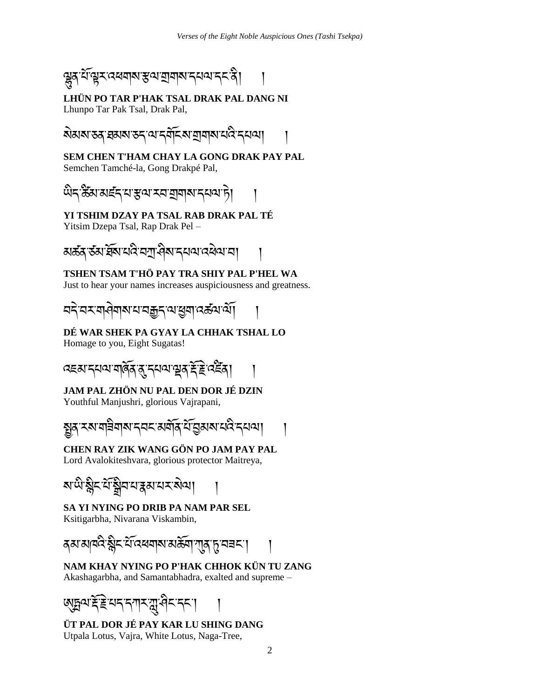

**LHÜN PO TAR P'HAK TSAL DRAK PAL DANG NI** Lhunpo Tar Pak Tsal, Drak Pal,

ষ্টমম্ড্ক্'ব্ৰম্মস্তন্ব'ৰ্মন মৰ্মিক্ম' মুম্মাম ঘেই'ন্য়ম্ম

**SEM CHEN T'HAM CHAY LA GONG DRAK PAY PAL** Semchen Tamché-la, Gong Drakpé Pal,

ਘੋਨ ਲੋੱਕਾ ਕਵੱਨ ਧਾੜਕਾ ਧਰਾ ਬਾਬਾਕਾ ਨਥਕਾ ਸੇ।

**YI TSHIM DZAY PA TSAL RAB DRAK PAL TÉ**

Yitsim Dzepa Tsal, Rap Drak Pel –

<u>য়ক্টর্স্টর্মাইমি'ঘই'ঘস্মুখিম'হ্ময়ার্থি</u>য়া যা

## **TSHEN TSAM T'HÖ PAY TRA SHIY PAL P'HEL WA**

Just to hear your names increases auspiciousness and greatness.

<u>ঘই ঘই মাৰ্টিৰ প্ৰাৰম্ভিক বিভিন্ন আৰু বিভিন্ন প্ৰা</u>

**DÉ WAR SHEK PA GYAY LA CHHAK TSHAL LO**

Homage to you, Eight Sugatas!



**JAM PAL ZHÖN NU PAL DEN DOR JÉ DZIN**

Youthful Manjushri, glorious Vajrapani,



## **CHEN RAY ZIK WANG GÖN PO JAM PAY PAL**

Lord Avalokiteshvara, glorious protector Maitreya,



**SA YI NYING PO DRIB PA NAM PAR SEL**

Ksitigarbha, Nivarana Viskambin,

**द**बाबाबदेर्छन् सें दिलबाबाबले अस्ति । तुम्बहा

**NAM KHAY NYING PO P'HAK CHHOK KÜN TU ZANG** Akashagarbha, and Samantabhadra, exalted and supreme –



**ÜT PAL DOR JÉ PAY KAR LU SHING DANG** Utpala Lotus, Vajra, White Lotus, Naga-Tree,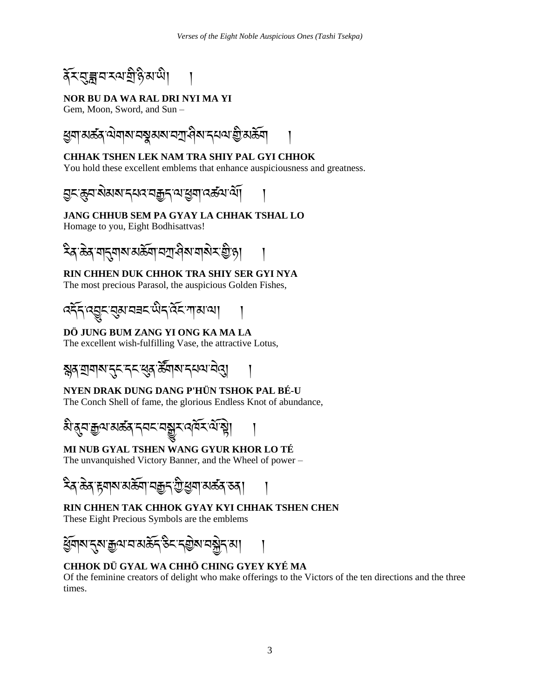র্কিন্মেক্লানস্মত্রীন্ত্রিমাঞ্চী

#### **NOR BU DA WA RAL DRI NYI MA YI**

Gem, Moon, Sword, and Sun –



#### **CHHAK TSHEN LEK NAM TRA SHIY PAL GYI CHHOK**

You hold these excellent emblems that enhance auspiciousness and greatness.

<u>བ</u>ང་རུབ་སེམས་དཔའ་བརྒྱད་ལ་ཕུག་འऊོལ་ལོ།।

#### **JANG CHHUB SEM PA GYAY LA CHHAK TSHAL LO**

Homage to you, Eight Bodhisattvas!



## **RIN CHHEN DUK CHHOK TRA SHIY SER GYI NYA**

The most precious Parasol, the auspicious Golden Fishes,



## **DÖ JUNG BUM ZANG YI ONG KA MA LA**

The excellent wish-fulfilling Vase, the attractive Lotus,



## **NYEN DRAK DUNG DANG P'HÜN TSHOK PAL BÉ-U**

The Conch Shell of fame, the glorious Endless Knot of abundance,



## **MI NUB GYAL TSHEN WANG GYUR KHOR LO TÉ**

The unvanquished Victory Banner, and the Wheel of power –



#### **RIN CHHEN TAK CHHOK GYAY KYI CHHAK TSHEN CHEN**

These Eight Precious Symbols are the emblems



## **CHHOK DÜ GYAL WA CHHÖ CHING GYEY KYÉ MA**

Of the feminine creators of delight who make offerings to the Victors of the ten directions and the three times.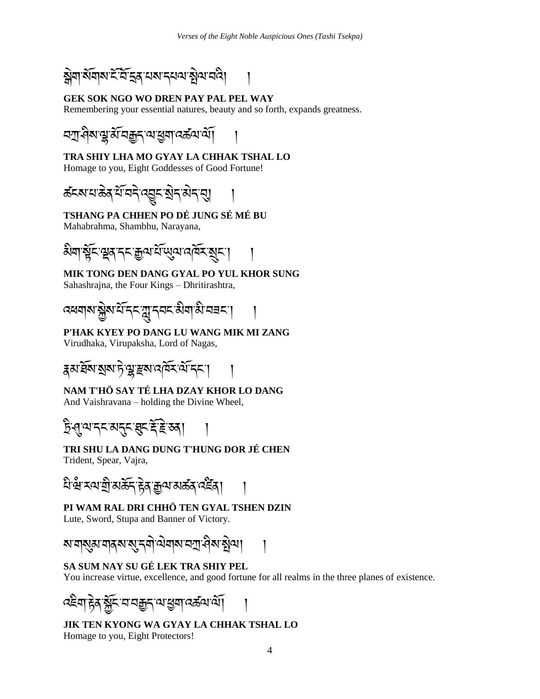

## **GEK SOK NGO WO DREN PAY PAL PEL WAY**

Remembering your essential natures, beauty and so forth, expands greatness.



# **TRA SHIY LHA MO GYAY LA CHHAK TSHAL LO**

Homage to you, Eight Goddesses of Good Fortune!



#### **TSHANG PA CHHEN PO DÉ JUNG SÉ MÉ BU**

Mahabrahma, Shambhu, Narayana,



#### **MIK TONG DEN DANG GYAL PO YUL KHOR SUNG** Sahashrajna, the Four Kings – Dhritirashtra,

འཕགས་སེས་པོ་དང་ཀླུ་དབང་མིག་མི་བཟང་། །

#### **P'HAK KYEY PO DANG LU WANG MIK MI ZANG**

Virudhaka, Virupaksha, Lord of Nagas,



## **NAM T'HÖ SAY TÉ LHA DZAY KHOR LO DANG**

And Vaishravana – holding the Divine Wheel,

# টি প্ৰথাব্ব মন্ত্ৰ স্থাই ই ভৰা

#### **TRI SHU LA DANG DUNG T'HUNG DOR JÉ CHEN** Trident, Spear, Vajra,

<u>ধি প্ৰ</u> হয় যুগৰা গুৰু দুৰী আৰু বিদ্যালয় দিবী

## **PI WAM RAL DRI CHHÖ TEN GYAL TSHEN DZIN**

Lute, Sword, Stupa and Banner of Victory.



## **SA SUM NAY SU GÉ LEK TRA SHIY PEL**

You increase virtue, excellence, and good fortune for all realms in the three planes of existence.

འཇིག་རྟེན་སོང་བ་བརྒྱད་ལ་ཕག་འཚལ་ལོ། །

**JIK TEN KYONG WA GYAY LA CHHAK TSHAL LO** Homage to you, Eight Protectors!